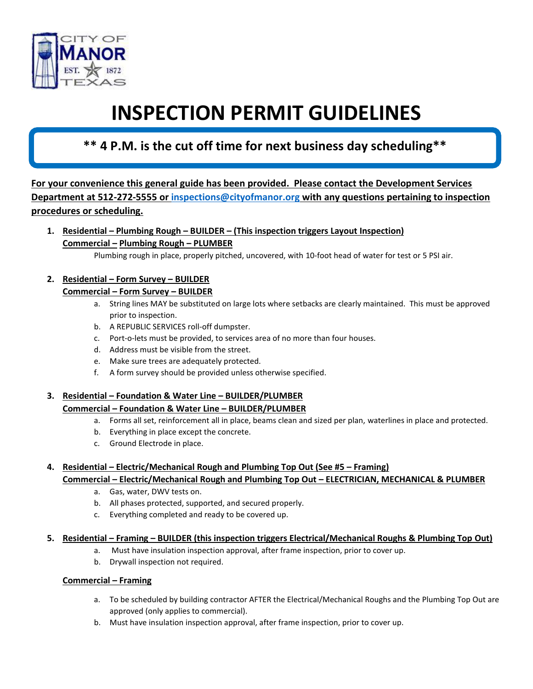

# **INSPECTION PERMIT GUIDELINES**

# **\*\* 4 P.M. is the cut off time for next business day scheduling\*\***

**For your convenience this general guide has been provided. Please contact the Development Services Department at 512-272-5555 or [inspections@cityofmanor.org](mailto:inspections@cityofmanor.org) with any questions pertaining to inspection procedures or scheduling.**

**1. Residential – Plumbing Rough – BUILDER – (This inspection triggers Layout Inspection) Commercial – Plumbing Rough – PLUMBER**

Plumbing rough in place, properly pitched, uncovered, with 10-foot head of water for test or 5 PSI air.

## **2. Residential – Form Survey – BUILDER**

#### **Commercial – Form Survey – BUILDER**

- a. String lines MAY be substituted on large lots where setbacks are clearly maintained. This must be approved prior to inspection.
- b. A REPUBLIC SERVICES roll-off dumpster.
- c. Port-o-lets must be provided, to services area of no more than four houses.
- d. Address must be visible from the street.
- e. Make sure trees are adequately protected.
- f. A form survey should be provided unless otherwise specified.

## **3. Residential – Foundation & Water Line – BUILDER/PLUMBER**

#### **Commercial – Foundation & Water Line – BUILDER/PLUMBER**

- a. Forms all set, reinforcement all in place, beams clean and sized per plan, waterlines in place and protected.
- b. Everything in place except the concrete.
- c. Ground Electrode in place.

## **4. Residential – Electric/Mechanical Rough and Plumbing Top Out (See #5 – Framing)**

#### **Commercial – Electric/Mechanical Rough and Plumbing Top Out – ELECTRICIAN, MECHANICAL & PLUMBER**

- a. Gas, water, DWV tests on.
- b. All phases protected, supported, and secured properly.
- c. Everything completed and ready to be covered up.

#### **5. Residential – Framing – BUILDER (this inspection triggers Electrical/Mechanical Roughs & Plumbing Top Out)**

- a. Must have insulation inspection approval, after frame inspection, prior to cover up.
- b. Drywall inspection not required.

#### **Commercial – Framing**

- a. To be scheduled by building contractor AFTER the Electrical/Mechanical Roughs and the Plumbing Top Out are approved (only applies to commercial).
- b. Must have insulation inspection approval, after frame inspection, prior to cover up.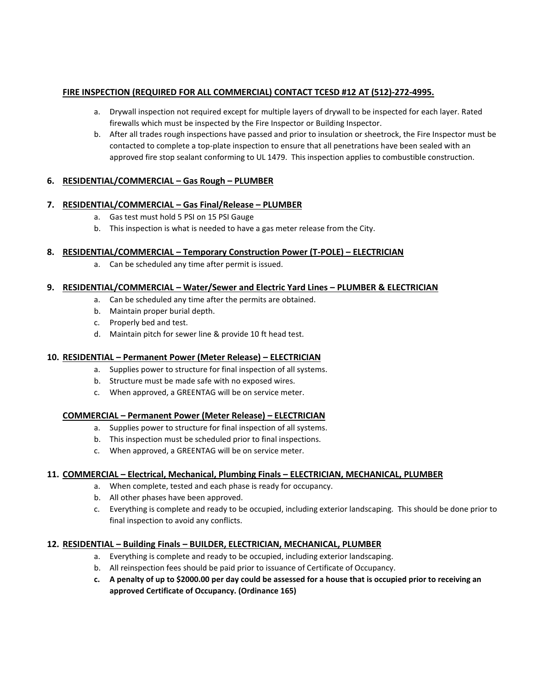#### **FIRE INSPECTION (REQUIRED FOR ALL COMMERCIAL) CONTACT TCESD #12 AT (512)-272-4995.**

- a. Drywall inspection not required except for multiple layers of drywall to be inspected for each layer. Rated firewalls which must be inspected by the Fire Inspector or Building Inspector.
- b. After all trades rough inspections have passed and prior to insulation or sheetrock, the Fire Inspector must be contacted to complete a top-plate inspection to ensure that all penetrations have been sealed with an approved fire stop sealant conforming to UL 1479. This inspection applies to combustible construction.

#### **6. RESIDENTIAL/COMMERCIAL – Gas Rough – PLUMBER**

#### **7. RESIDENTIAL/COMMERCIAL – Gas Final/Release – PLUMBER**

- a. Gas test must hold 5 PSI on 15 PSI Gauge
- b. This inspection is what is needed to have a gas meter release from the City.

#### **8. RESIDENTIAL/COMMERCIAL – Temporary Construction Power (T-POLE) – ELECTRICIAN**

a. Can be scheduled any time after permit is issued.

#### **9. RESIDENTIAL/COMMERCIAL – Water/Sewer and Electric Yard Lines – PLUMBER & ELECTRICIAN**

- a. Can be scheduled any time after the permits are obtained.
- b. Maintain proper burial depth.
- c. Properly bed and test.
- d. Maintain pitch for sewer line & provide 10 ft head test.

#### **10. RESIDENTIAL – Permanent Power (Meter Release) – ELECTRICIAN**

- a. Supplies power to structure for final inspection of all systems.
- b. Structure must be made safe with no exposed wires.
- c. When approved, a GREENTAG will be on service meter.

#### **COMMERCIAL – Permanent Power (Meter Release) – ELECTRICIAN**

- a. Supplies power to structure for final inspection of all systems.
- b. This inspection must be scheduled prior to final inspections.
- c. When approved, a GREENTAG will be on service meter.

#### **11. COMMERCIAL – Electrical, Mechanical, Plumbing Finals – ELECTRICIAN, MECHANICAL, PLUMBER**

- a. When complete, tested and each phase is ready for occupancy.
- b. All other phases have been approved.
- c. Everything is complete and ready to be occupied, including exterior landscaping. This should be done prior to final inspection to avoid any conflicts.

#### **12. RESIDENTIAL – Building Finals – BUILDER, ELECTRICIAN, MECHANICAL, PLUMBER**

- a. Everything is complete and ready to be occupied, including exterior landscaping.
- b. All reinspection fees should be paid prior to issuance of Certificate of Occupancy.
- **c. A penalty of up to \$2000.00 per day could be assessed for a house that is occupied prior to receiving an approved Certificate of Occupancy. (Ordinance 165)**